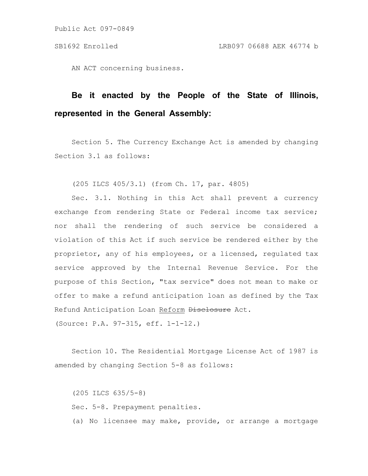AN ACT concerning business.

## **Be it enacted by the People of the State of Illinois, represented in the General Assembly:**

Section 5. The Currency Exchange Act is amended by changing Section 3.1 as follows:

(205 ILCS 405/3.1) (from Ch. 17, par. 4805)

Sec. 3.1. Nothing in this Act shall prevent a currency exchange from rendering State or Federal income tax service; nor shall the rendering of such service be considered a violation of this Act if such service be rendered either by the proprietor, any of his employees, or a licensed, regulated tax service approved by the Internal Revenue Service. For the purpose of this Section, "tax service" does not mean to make or offer to make a refund anticipation loan as defined by the Tax Refund Anticipation Loan Reform Disclosure Act.

(Source: P.A. 97-315, eff. 1-1-12.)

Section 10. The Residential Mortgage License Act of 1987 is amended by changing Section 5-8 as follows:

(205 ILCS 635/5-8) Sec. 5-8. Prepayment penalties. (a) No licensee may make, provide, or arrange a mortgage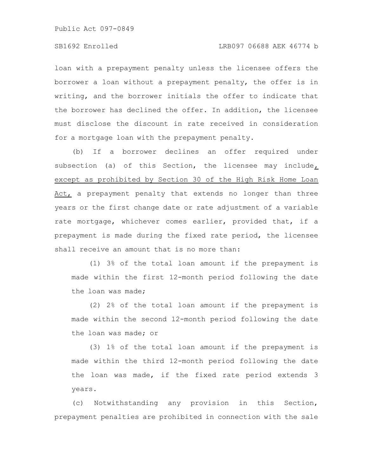loan with a prepayment penalty unless the licensee offers the borrower a loan without a prepayment penalty, the offer is in writing, and the borrower initials the offer to indicate that the borrower has declined the offer. In addition, the licensee must disclose the discount in rate received in consideration for a mortgage loan with the prepayment penalty.

(b) If a borrower declines an offer required under subsection (a) of this Section, the licensee may include, except as prohibited by Section 30 of the High Risk Home Loan Act, a prepayment penalty that extends no longer than three years or the first change date or rate adjustment of a variable rate mortgage, whichever comes earlier, provided that, if a prepayment is made during the fixed rate period, the licensee shall receive an amount that is no more than:

(1) 3% of the total loan amount if the prepayment is made within the first 12-month period following the date the loan was made;

(2) 2% of the total loan amount if the prepayment is made within the second 12-month period following the date the loan was made; or

(3) 1% of the total loan amount if the prepayment is made within the third 12-month period following the date the loan was made, if the fixed rate period extends 3 years.

(c) Notwithstanding any provision in this Section, prepayment penalties are prohibited in connection with the sale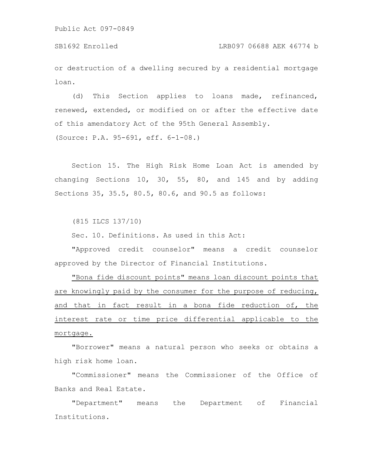SB1692 Enrolled LRB097 06688 AEK 46774 b

or destruction of a dwelling secured by a residential mortgage loan.

(d) This Section applies to loans made, refinanced, renewed, extended, or modified on or after the effective date of this amendatory Act of the 95th General Assembly. (Source: P.A. 95-691, eff. 6-1-08.)

Section 15. The High Risk Home Loan Act is amended by changing Sections 10, 30, 55, 80, and 145 and by adding Sections 35, 35.5, 80.5, 80.6, and 90.5 as follows:

(815 ILCS 137/10)

Sec. 10. Definitions. As used in this Act:

"Approved credit counselor" means a credit counselor approved by the Director of Financial Institutions.

"Bona fide discount points" means loan discount points that are knowingly paid by the consumer for the purpose of reducing, and that in fact result in a bona fide reduction of, the interest rate or time price differential applicable to the mortgage.

"Borrower" means a natural person who seeks or obtains a high risk home loan.

"Commissioner" means the Commissioner of the Office of Banks and Real Estate.

"Department" means the Department of Financial Institutions.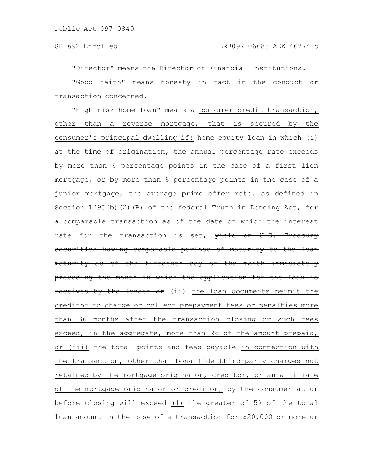"Director" means the Director of Financial Institutions.

"Good faith" means honesty in fact in the conduct or transaction concerned.

"High risk home loan" means a consumer credit transaction, other than a reverse mortgage, that is secured by the consumer's principal dwelling if: home equity loan in which (i) at the time of origination, the annual percentage rate exceeds by more than 6 percentage points in the case of a first lien mortgage, or by more than 8 percentage points in the case of a junior mortgage, the average prime offer rate, as defined in Section 129C(b)(2)(B) of the federal Truth in Lending Act, for a comparable transaction as of the date on which the interest rate for the transaction is set, wield on U.S. Treasury securities having comparable periods of maturity to the loan maturity as of the fifteenth day of the month immediately preceding the month in which the application for the loan is received by the lender or (ii) the loan documents permit the creditor to charge or collect prepayment fees or penalties more than 36 months after the transaction closing or such fees exceed, in the aggregate, more than 2% of the amount prepaid, or (iii) the total points and fees payable in connection with the transaction, other than bona fide third-party charges not retained by the mortgage originator, creditor, or an affiliate of the mortgage originator or creditor, by the consumer at or before closing will exceed (1) the greater of 5% of the total loan amount in the case of a transaction for \$20,000 or more or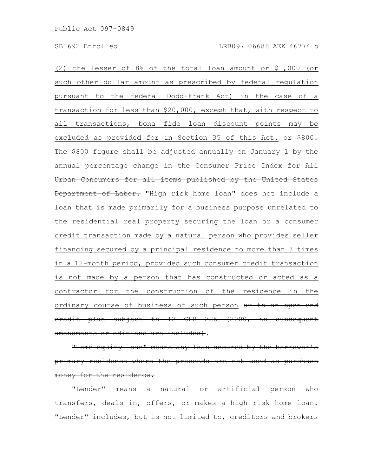(2) the lesser of 8% of the total loan amount or \$1,000 (or such other dollar amount as prescribed by federal regulation pursuant to the federal Dodd-Frank Act) in the case of a transaction for less than \$20,000, except that, with respect to all transactions, bona fide loan discount points may be excluded as provided for in Section 35 of this Act. or \$800. The \$800 figure shall be adjusted annually on January 1 by the annual percentage change in the Consumer Price Index for All Urban Consumers for all items published by the United States Department of Labor. "High risk home loan" does not include a loan that is made primarily for a business purpose unrelated to the residential real property securing the loan or a consumer credit transaction made by a natural person who provides seller financing secured by a principal residence no more than 3 times in a 12-month period, provided such consumer credit transaction is not made by a person that has constructed or acted as a contractor for the construction of the residence in the ordinary course of business of such person or to an open credit plan subject to 12 CFR 226 (2000, no subsequent amendments or editions are included).

"Home equity loan" means any loan secured by the primary residence where the proceeds are not used as purchase money for the residence.

"Lender" means a natural or artificial person who transfers, deals in, offers, or makes a high risk home loan. "Lender" includes, but is not limited to, creditors and brokers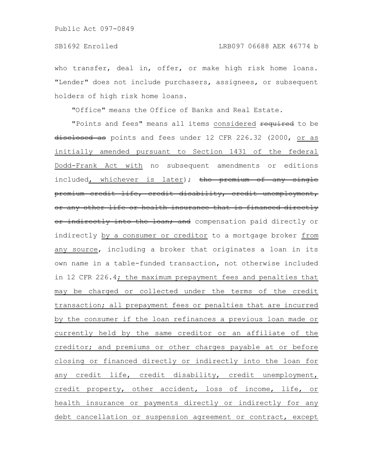who transfer, deal in, offer, or make high risk home loans. "Lender" does not include purchasers, assignees, or subsequent holders of high risk home loans.

"Office" means the Office of Banks and Real Estate.

"Points and fees" means all items considered <del>required</del> to be disclosed as points and fees under 12 CFR 226.32 (2000, or as initially amended pursuant to Section 1431 of the federal Dodd-Frank Act with no subsequent amendments or editions included, whichever is later); the premium of any single premium credit life, credit disability, credit unemployment, or any other life or health insurance that is financed directly or indirectly into the loan; and compensation paid directly or indirectly by a consumer or creditor to a mortgage broker from any source, including a broker that originates a loan in its own name in a table-funded transaction, not otherwise included in 12 CFR 226.4; the maximum prepayment fees and penalties that may be charged or collected under the terms of the credit transaction; all prepayment fees or penalties that are incurred by the consumer if the loan refinances a previous loan made or currently held by the same creditor or an affiliate of the creditor; and premiums or other charges payable at or before closing or financed directly or indirectly into the loan for any credit life, credit disability, credit unemployment, credit property, other accident, loss of income, life, or health insurance or payments directly or indirectly for any debt cancellation or suspension agreement or contract, except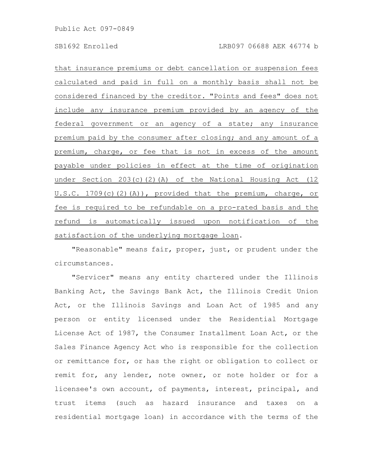that insurance premiums or debt cancellation or suspension fees calculated and paid in full on a monthly basis shall not be considered financed by the creditor. "Points and fees" does not include any insurance premium provided by an agency of the federal government or an agency of a state; any insurance premium paid by the consumer after closing; and any amount of a premium, charge, or fee that is not in excess of the amount payable under policies in effect at the time of origination under Section 203(c)(2)(A) of the National Housing Act (12 U.S.C. 1709(c)(2)(A)), provided that the premium, charge, or fee is required to be refundable on a pro-rated basis and the refund is automatically issued upon notification of the satisfaction of the underlying mortgage loan.

"Reasonable" means fair, proper, just, or prudent under the circumstances.

"Servicer" means any entity chartered under the Illinois Banking Act, the Savings Bank Act, the Illinois Credit Union Act, or the Illinois Savings and Loan Act of 1985 and any person or entity licensed under the Residential Mortgage License Act of 1987, the Consumer Installment Loan Act, or the Sales Finance Agency Act who is responsible for the collection or remittance for, or has the right or obligation to collect or remit for, any lender, note owner, or note holder or for a licensee's own account, of payments, interest, principal, and trust items (such as hazard insurance and taxes on a residential mortgage loan) in accordance with the terms of the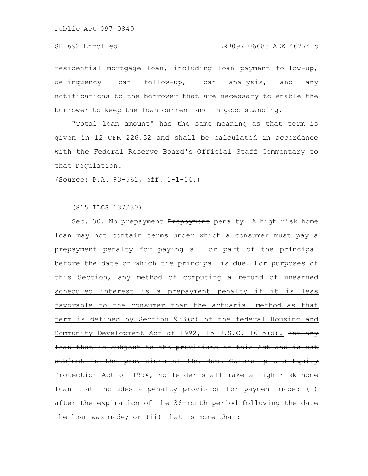residential mortgage loan, including loan payment follow-up, delinquency loan follow-up, loan analysis, and any notifications to the borrower that are necessary to enable the borrower to keep the loan current and in good standing.

"Total loan amount" has the same meaning as that term is given in 12 CFR 226.32 and shall be calculated in accordance with the Federal Reserve Board's Official Staff Commentary to that regulation.

(Source: P.A. 93-561, eff. 1-1-04.)

(815 ILCS 137/30)

Sec. 30. No prepayment Prepayment penalty. A high risk home loan may not contain terms under which a consumer must pay a prepayment penalty for paying all or part of the principal before the date on which the principal is due. For purposes of this Section, any method of computing a refund of unearned scheduled interest is a prepayment penalty if it is less favorable to the consumer than the actuarial method as that term is defined by Section 933(d) of the federal Housing and Community Development Act of 1992, 15 U.S.C. 1615(d). For any loan that is subject to the provisions of this Act and subject to the provisions of the Home Ownership and Equity Protection Act of 1994, no lender shall make a high risk loan that includes a penalty provision for payment after the expiration of the 36-month period following the toan was made; or (ii) that is more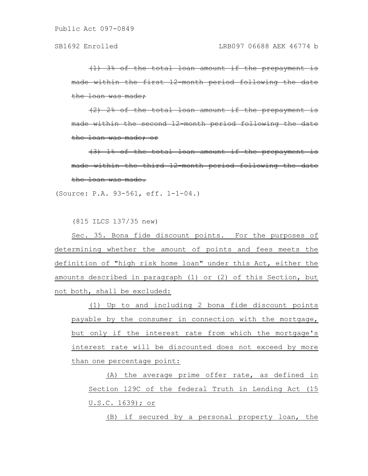$\{1\}$  3% of the total loan amount if within the first 12-month period following the loan was made;

 $(2)$  2% of the total loan amount if made within the second 12 month period follow the loan was made; or

 $(3)$  1% of the total loan amount if the within the third 12 month period foll the loan was made.

(Source: P.A. 93-561, eff. 1-1-04.)

(815 ILCS 137/35 new)

Sec. 35. Bona fide discount points. For the purposes of determining whether the amount of points and fees meets the definition of "high risk home loan" under this Act, either the amounts described in paragraph (1) or (2) of this Section, but not both, shall be excluded:

(1) Up to and including 2 bona fide discount points payable by the consumer in connection with the mortgage, but only if the interest rate from which the mortgage's interest rate will be discounted does not exceed by more than one percentage point:

(A) the average prime offer rate, as defined in Section 129C of the federal Truth in Lending Act (15 U.S.C. 1639); or

(B) if secured by a personal property loan, the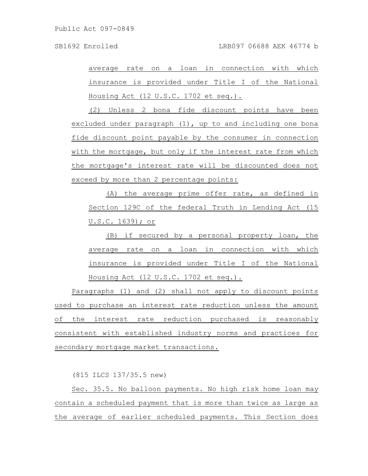average rate on a loan in connection with which insurance is provided under Title I of the National Housing Act (12 U.S.C. 1702 et seq.).

(2) Unless 2 bona fide discount points have been excluded under paragraph (1), up to and including one bona fide discount point payable by the consumer in connection with the mortgage, but only if the interest rate from which the mortgage's interest rate will be discounted does not exceed by more than 2 percentage points:

(A) the average prime offer rate, as defined in Section 129C of the federal Truth in Lending Act (15 U.S.C. 1639); or

(B) if secured by a personal property loan, the average rate on a loan in connection with which insurance is provided under Title I of the National Housing Act (12 U.S.C. 1702 et seq.).

Paragraphs (1) and (2) shall not apply to discount points used to purchase an interest rate reduction unless the amount of the interest rate reduction purchased is reasonably consistent with established industry norms and practices for secondary mortgage market transactions.

(815 ILCS 137/35.5 new)

Sec. 35.5. No balloon payments. No high risk home loan may contain a scheduled payment that is more than twice as large as the average of earlier scheduled payments. This Section does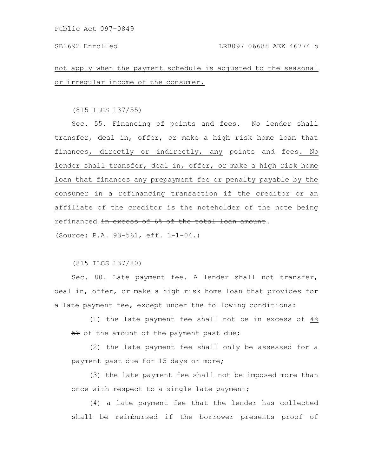not apply when the payment schedule is adjusted to the seasonal or irregular income of the consumer.

(815 ILCS 137/55)

Sec. 55. Financing of points and fees. No lender shall transfer, deal in, offer, or make a high risk home loan that finances, directly or indirectly, any points and fees. No lender shall transfer, deal in, offer, or make a high risk home loan that finances any prepayment fee or penalty payable by the consumer in a refinancing transaction if the creditor or an affiliate of the creditor is the noteholder of the note being refinanced in excess of 6% of the total loan amount.

(Source: P.A. 93-561, eff. 1-1-04.)

(815 ILCS 137/80)

Sec. 80. Late payment fee. A lender shall not transfer, deal in, offer, or make a high risk home loan that provides for a late payment fee, except under the following conditions:

(1) the late payment fee shall not be in excess of 4%  $\frac{58}{100}$  of the amount of the payment past due;

(2) the late payment fee shall only be assessed for a payment past due for 15 days or more;

(3) the late payment fee shall not be imposed more than once with respect to a single late payment;

(4) a late payment fee that the lender has collected shall be reimbursed if the borrower presents proof of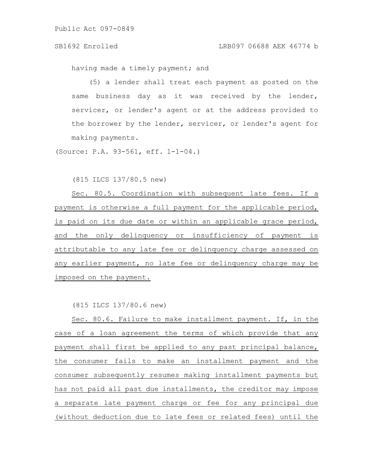## SB1692 Enrolled LRB097 06688 AEK 46774 b

having made a timely payment; and

(5) a lender shall treat each payment as posted on the same business day as it was received by the lender, servicer, or lender's agent or at the address provided to the borrower by the lender, servicer, or lender's agent for making payments.

(Source: P.A. 93-561, eff. 1-1-04.)

(815 ILCS 137/80.5 new)

Sec. 80.5. Coordination with subsequent late fees. If a payment is otherwise a full payment for the applicable period, is paid on its due date or within an applicable grace period, and the only delinquency or insufficiency of payment is attributable to any late fee or delinquency charge assessed on any earlier payment, no late fee or delinquency charge may be imposed on the payment.

(815 ILCS 137/80.6 new)

Sec. 80.6. Failure to make installment payment. If, in the case of a loan agreement the terms of which provide that any payment shall first be applied to any past principal balance, the consumer fails to make an installment payment and the consumer subsequently resumes making installment payments but has not paid all past due installments, the creditor may impose a separate late payment charge or fee for any principal due (without deduction due to late fees or related fees) until the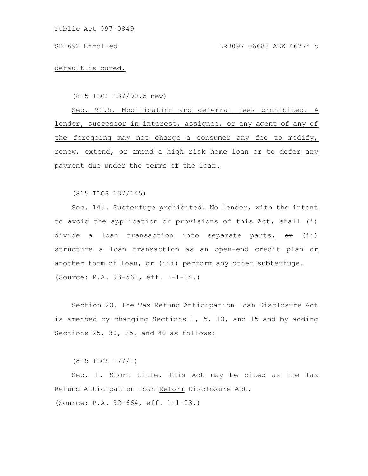default is cured.

(815 ILCS 137/90.5 new)

Sec. 90.5. Modification and deferral fees prohibited. A lender, successor in interest, assignee, or any agent of any of the foregoing may not charge a consumer any fee to modify, renew, extend, or amend a high risk home loan or to defer any payment due under the terms of the loan.

(815 ILCS 137/145)

Sec. 145. Subterfuge prohibited. No lender, with the intent to avoid the application or provisions of this Act, shall (i) divide a loan transaction into separate parts,  $er$  (ii) structure a loan transaction as an open-end credit plan or another form of loan, or (iii) perform any other subterfuge. (Source: P.A. 93-561, eff. 1-1-04.)

Section 20. The Tax Refund Anticipation Loan Disclosure Act is amended by changing Sections 1, 5, 10, and 15 and by adding Sections 25, 30, 35, and 40 as follows:

(815 ILCS 177/1)

Sec. 1. Short title. This Act may be cited as the Tax Refund Anticipation Loan Reform Disclosure Act.

(Source: P.A. 92-664, eff. 1-1-03.)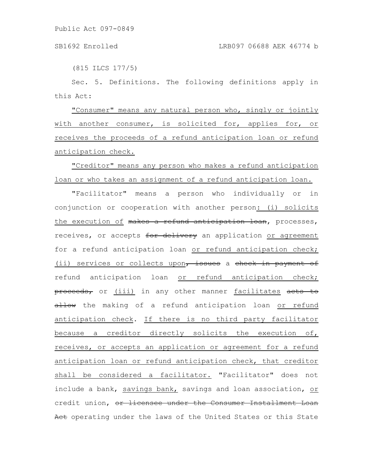(815 ILCS 177/5)

Sec. 5. Definitions. The following definitions apply in this Act:

"Consumer" means any natural person who, singly or jointly with another consumer, is solicited for, applies for, or receives the proceeds of a refund anticipation loan or refund anticipation check.

"Creditor" means any person who makes a refund anticipation loan or who takes an assignment of a refund anticipation loan.

"Facilitator" means a person who individually or in conjunction or cooperation with another person: (i) solicits the execution of makes a refund anticipation loan, processes, receives, or accepts for delivery an application or agreement for a refund anticipation loan or refund anticipation check; (ii) services or collects upon, issues a check in payment of refund anticipation loan or refund anticipation check; proceeds, or (iii) in any other manner facilitates acts to allow the making of a refund anticipation loan or refund anticipation check. If there is no third party facilitator because a creditor directly solicits the execution of, receives, or accepts an application or agreement for a refund anticipation loan or refund anticipation check, that creditor shall be considered a facilitator. "Facilitator" does not include a bank, savings bank, savings and loan association, or credit union, or licensee under the Consumer Installment Loan Act operating under the laws of the United States or this State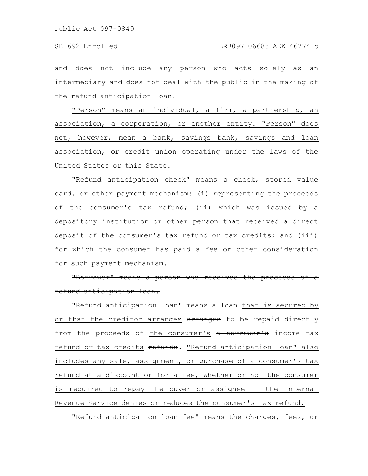and does not include any person who acts solely as an intermediary and does not deal with the public in the making of the refund anticipation loan.

"Person" means an individual, a firm, a partnership, an association, a corporation, or another entity. "Person" does not, however, mean a bank, savings bank, savings and loan association, or credit union operating under the laws of the United States or this State.

"Refund anticipation check" means a check, stored value card, or other payment mechanism: (i) representing the proceeds of the consumer's tax refund; (ii) which was issued by a depository institution or other person that received a direct deposit of the consumer's tax refund or tax credits; and (iii) for which the consumer has paid a fee or other consideration for such payment mechanism.

"Borrower" means a person who receives the proceeds refund anticipation loan.

"Refund anticipation loan" means a loan that is secured by or that the creditor arranges arranged to be repaid directly from the proceeds of the consumer's a borrower's income tax refund or tax credits refunds. "Refund anticipation loan" also includes any sale, assignment, or purchase of a consumer's tax refund at a discount or for a fee, whether or not the consumer is required to repay the buyer or assignee if the Internal Revenue Service denies or reduces the consumer's tax refund.

"Refund anticipation loan fee" means the charges, fees, or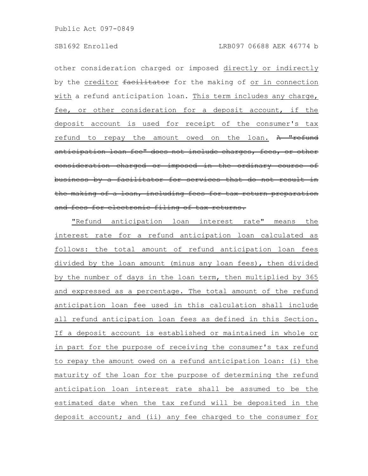other consideration charged or imposed directly or indirectly by the creditor facilitator for the making of or in connection with a refund anticipation loan. This term includes any charge, fee, or other consideration for a deposit account, if the deposit account is used for receipt of the consumer's tax refund to repay the amount owed on the loan. A "refund anticipation loan fee" does not include charges, fees, or other consideration charged or imposed in the ordinary business by a facilitator for services that do not result the making of a loan, including fees for tax return preparation and fees for electronic filing of tax returns.

"Refund anticipation loan interest rate" means the interest rate for a refund anticipation loan calculated as follows: the total amount of refund anticipation loan fees divided by the loan amount (minus any loan fees), then divided by the number of days in the loan term, then multiplied by 365 and expressed as a percentage. The total amount of the refund anticipation loan fee used in this calculation shall include all refund anticipation loan fees as defined in this Section. If a deposit account is established or maintained in whole or in part for the purpose of receiving the consumer's tax refund to repay the amount owed on a refund anticipation loan: (i) the maturity of the loan for the purpose of determining the refund anticipation loan interest rate shall be assumed to be the estimated date when the tax refund will be deposited in the deposit account; and (ii) any fee charged to the consumer for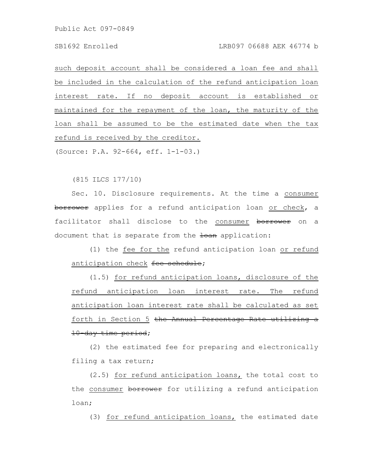such deposit account shall be considered a loan fee and shall be included in the calculation of the refund anticipation loan interest rate. If no deposit account is established or maintained for the repayment of the loan, the maturity of the loan shall be assumed to be the estimated date when the tax refund is received by the creditor.

(Source: P.A. 92-664, eff. 1-1-03.)

(815 ILCS 177/10)

Sec. 10. Disclosure requirements. At the time a consumer borrower applies for a refund anticipation loan or check, a facilitator shall disclose to the consumer borrower on a document that is separate from the loan application:

(1) the fee for the refund anticipation loan or refund anticipation check fee schedule;

(1.5) for refund anticipation loans, disclosure of the refund anticipation loan interest rate. The refund anticipation loan interest rate shall be calculated as set forth in Section 5 the Annual Percentage Rate utilizing a 10-day time period;

(2) the estimated fee for preparing and electronically filing a tax return;

(2.5) for refund anticipation loans, the total cost to the consumer borrower for utilizing a refund anticipation loan;

(3) for refund anticipation loans, the estimated date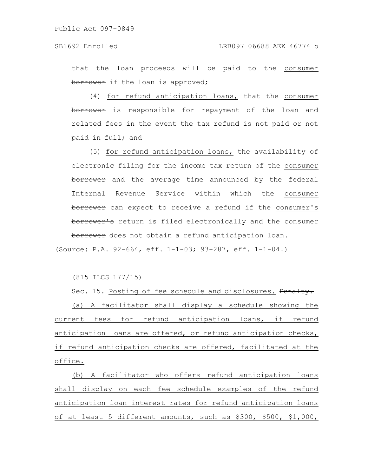that the loan proceeds will be paid to the consumer borrower if the loan is approved;

(4) for refund anticipation loans, that the consumer borrower is responsible for repayment of the loan and related fees in the event the tax refund is not paid or not paid in full; and

(5) for refund anticipation loans, the availability of electronic filing for the income tax return of the consumer borrower and the average time announced by the federal Internal Revenue Service within which the consumer borrower can expect to receive a refund if the consumer's borrower's return is filed electronically and the consumer borrower does not obtain a refund anticipation loan.

(Source: P.A. 92-664, eff. 1-1-03; 93-287, eff. 1-1-04.)

(815 ILCS 177/15)

Sec. 15. Posting of fee schedule and disclosures. Penalty. (a) A facilitator shall display a schedule showing the current fees for refund anticipation loans, if refund anticipation loans are offered, or refund anticipation checks, if refund anticipation checks are offered, facilitated at the office.

(b) A facilitator who offers refund anticipation loans shall display on each fee schedule examples of the refund anticipation loan interest rates for refund anticipation loans of at least 5 different amounts, such as \$300, \$500, \$1,000,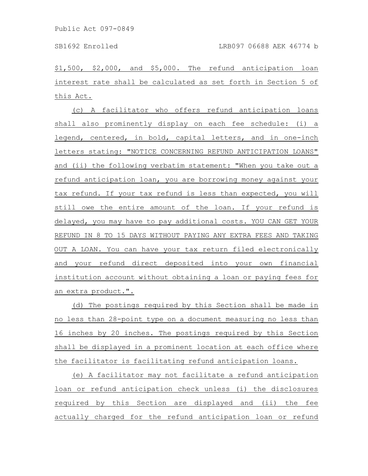\$1,500, \$2,000, and \$5,000. The refund anticipation loan interest rate shall be calculated as set forth in Section 5 of this Act.

(c) A facilitator who offers refund anticipation loans shall also prominently display on each fee schedule: (i) a legend, centered, in bold, capital letters, and in one-inch letters stating: "NOTICE CONCERNING REFUND ANTICIPATION LOANS" and (ii) the following verbatim statement: "When you take out a refund anticipation loan, you are borrowing money against your tax refund. If your tax refund is less than expected, you will still owe the entire amount of the loan. If your refund is delayed, you may have to pay additional costs. YOU CAN GET YOUR REFUND IN 8 TO 15 DAYS WITHOUT PAYING ANY EXTRA FEES AND TAKING OUT A LOAN. You can have your tax return filed electronically and your refund direct deposited into your own financial institution account without obtaining a loan or paying fees for an extra product.".

(d) The postings required by this Section shall be made in no less than 28-point type on a document measuring no less than 16 inches by 20 inches. The postings required by this Section shall be displayed in a prominent location at each office where the facilitator is facilitating refund anticipation loans.

(e) A facilitator may not facilitate a refund anticipation loan or refund anticipation check unless (i) the disclosures required by this Section are displayed and (ii) the fee actually charged for the refund anticipation loan or refund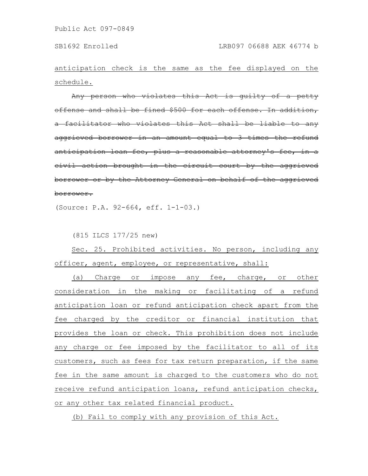anticipation check is the same as the fee displayed on the schedule.

Any person who violates this Act is quilty of and shall be fined \$500 for each offense a facilitator who violates this Act shall be liable to aggrieved borrower in an amount equal to 3 times the refund anticipation loan fee, plus a reasonable attorney's civil action brought in the circuit court by borrower or by the Attorney General on behalf of the aggrieved borrower.

(Source: P.A. 92-664, eff. 1-1-03.)

(815 ILCS 177/25 new)

Sec. 25. Prohibited activities. No person, including any officer, agent, employee, or representative, shall:

(a) Charge or impose any fee, charge, or other consideration in the making or facilitating of a refund anticipation loan or refund anticipation check apart from the fee charged by the creditor or financial institution that provides the loan or check. This prohibition does not include any charge or fee imposed by the facilitator to all of its customers, such as fees for tax return preparation, if the same fee in the same amount is charged to the customers who do not receive refund anticipation loans, refund anticipation checks, or any other tax related financial product.

(b) Fail to comply with any provision of this Act.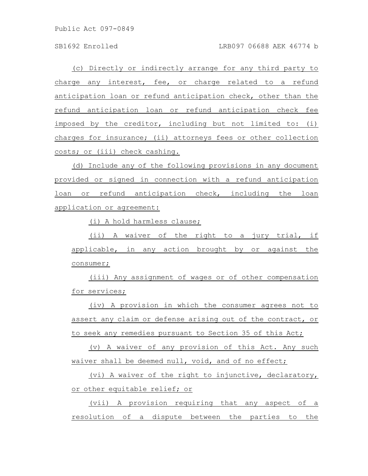(c) Directly or indirectly arrange for any third party to charge any interest, fee, or charge related to a refund anticipation loan or refund anticipation check, other than the refund anticipation loan or refund anticipation check fee imposed by the creditor, including but not limited to: (i) charges for insurance; (ii) attorneys fees or other collection costs; or (iii) check cashing.

(d) Include any of the following provisions in any document provided or signed in connection with a refund anticipation loan or refund anticipation check, including the loan application or agreement:

(i) A hold harmless clause;

(ii) A waiver of the right to a jury trial, if applicable, in any action brought by or against the consumer;

(iii) Any assignment of wages or of other compensation for services;

(iv) A provision in which the consumer agrees not to assert any claim or defense arising out of the contract, or to seek any remedies pursuant to Section 35 of this Act;

(v) A waiver of any provision of this Act. Any such waiver shall be deemed null, void, and of no effect;

(vi) A waiver of the right to injunctive, declaratory, or other equitable relief; or

(vii) A provision requiring that any aspect of a resolution of a dispute between the parties to the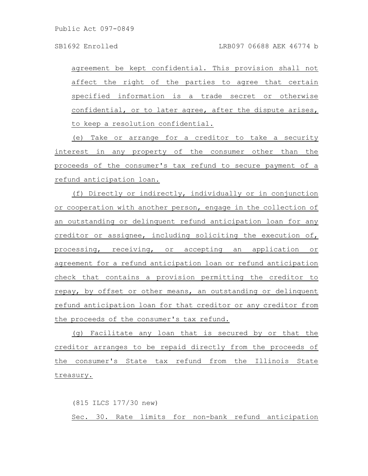agreement be kept confidential. This provision shall not affect the right of the parties to agree that certain specified information is a trade secret or otherwise confidential, or to later agree, after the dispute arises, to keep a resolution confidential.

(e) Take or arrange for a creditor to take a security interest in any property of the consumer other than the proceeds of the consumer's tax refund to secure payment of a refund anticipation loan.

(f) Directly or indirectly, individually or in conjunction or cooperation with another person, engage in the collection of an outstanding or delinquent refund anticipation loan for any creditor or assignee, including soliciting the execution of, processing, receiving, or accepting an application or agreement for a refund anticipation loan or refund anticipation check that contains a provision permitting the creditor to repay, by offset or other means, an outstanding or delinquent refund anticipation loan for that creditor or any creditor from the proceeds of the consumer's tax refund.

(g) Facilitate any loan that is secured by or that the creditor arranges to be repaid directly from the proceeds of the consumer's State tax refund from the Illinois State treasury.

(815 ILCS 177/30 new)

Sec. 30. Rate limits for non-bank refund anticipation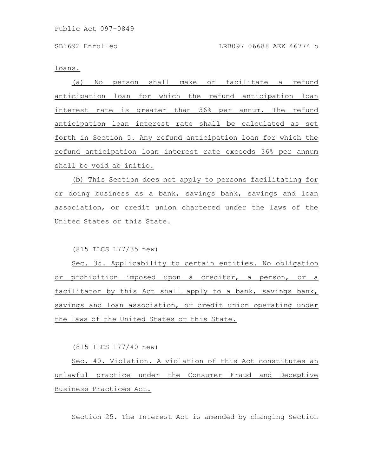loans.

(a) No person shall make or facilitate a refund anticipation loan for which the refund anticipation loan interest rate is greater than 36% per annum. The refund anticipation loan interest rate shall be calculated as set forth in Section 5. Any refund anticipation loan for which the refund anticipation loan interest rate exceeds 36% per annum shall be void ab initio.

(b) This Section does not apply to persons facilitating for or doing business as a bank, savings bank, savings and loan association, or credit union chartered under the laws of the United States or this State.

(815 ILCS 177/35 new)

Sec. 35. Applicability to certain entities. No obligation or prohibition imposed upon a creditor, a person, or a facilitator by this Act shall apply to a bank, savings bank, savings and loan association, or credit union operating under the laws of the United States or this State.

(815 ILCS 177/40 new)

Sec. 40. Violation. A violation of this Act constitutes an unlawful practice under the Consumer Fraud and Deceptive Business Practices Act.

Section 25. The Interest Act is amended by changing Section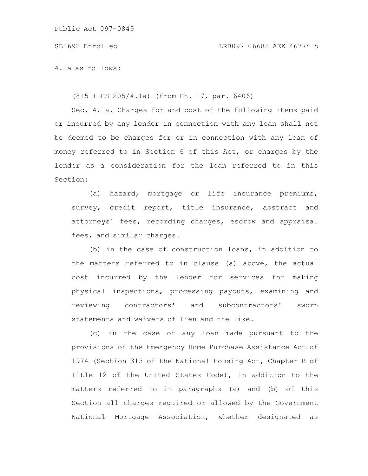SB1692 Enrolled LRB097 06688 AEK 46774 b

4.1a as follows:

(815 ILCS 205/4.1a) (from Ch. 17, par. 6406)

Sec. 4.1a. Charges for and cost of the following items paid or incurred by any lender in connection with any loan shall not be deemed to be charges for or in connection with any loan of money referred to in Section 6 of this Act, or charges by the lender as a consideration for the loan referred to in this Section:

(a) hazard, mortgage or life insurance premiums, survey, credit report, title insurance, abstract and attorneys' fees, recording charges, escrow and appraisal fees, and similar charges.

(b) in the case of construction loans, in addition to the matters referred to in clause (a) above, the actual cost incurred by the lender for services for making physical inspections, processing payouts, examining and reviewing contractors' and subcontractors' sworn statements and waivers of lien and the like.

(c) in the case of any loan made pursuant to the provisions of the Emergency Home Purchase Assistance Act of 1974 (Section 313 of the National Housing Act, Chapter B of Title 12 of the United States Code), in addition to the matters referred to in paragraphs (a) and (b) of this Section all charges required or allowed by the Government National Mortgage Association, whether designated as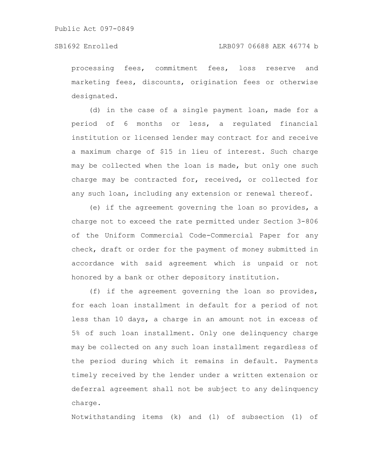processing fees, commitment fees, loss reserve and marketing fees, discounts, origination fees or otherwise designated.

(d) in the case of a single payment loan, made for a period of 6 months or less, a regulated financial institution or licensed lender may contract for and receive a maximum charge of \$15 in lieu of interest. Such charge may be collected when the loan is made, but only one such charge may be contracted for, received, or collected for any such loan, including any extension or renewal thereof.

(e) if the agreement governing the loan so provides, a charge not to exceed the rate permitted under Section 3-806 of the Uniform Commercial Code-Commercial Paper for any check, draft or order for the payment of money submitted in accordance with said agreement which is unpaid or not honored by a bank or other depository institution.

(f) if the agreement governing the loan so provides, for each loan installment in default for a period of not less than 10 days, a charge in an amount not in excess of 5% of such loan installment. Only one delinquency charge may be collected on any such loan installment regardless of the period during which it remains in default. Payments timely received by the lender under a written extension or deferral agreement shall not be subject to any delinquency charge.

Notwithstanding items (k) and (l) of subsection (1) of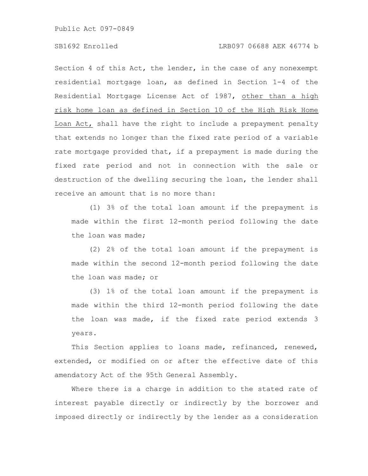Section 4 of this Act, the lender, in the case of any nonexempt residential mortgage loan, as defined in Section 1-4 of the Residential Mortgage License Act of 1987, other than a high risk home loan as defined in Section 10 of the High Risk Home Loan Act, shall have the right to include a prepayment penalty that extends no longer than the fixed rate period of a variable rate mortgage provided that, if a prepayment is made during the fixed rate period and not in connection with the sale or destruction of the dwelling securing the loan, the lender shall receive an amount that is no more than:

(1) 3% of the total loan amount if the prepayment is made within the first 12-month period following the date the loan was made;

(2) 2% of the total loan amount if the prepayment is made within the second 12-month period following the date the loan was made; or

(3) 1% of the total loan amount if the prepayment is made within the third 12-month period following the date the loan was made, if the fixed rate period extends 3 years.

This Section applies to loans made, refinanced, renewed, extended, or modified on or after the effective date of this amendatory Act of the 95th General Assembly.

Where there is a charge in addition to the stated rate of interest payable directly or indirectly by the borrower and imposed directly or indirectly by the lender as a consideration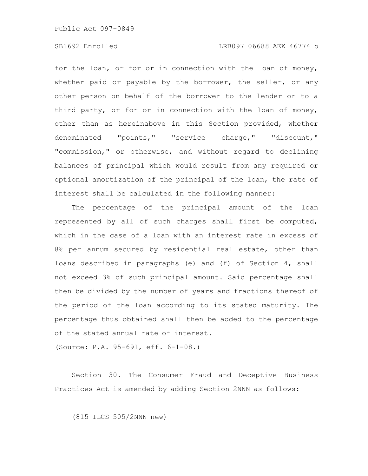for the loan, or for or in connection with the loan of money, whether paid or payable by the borrower, the seller, or any other person on behalf of the borrower to the lender or to a third party, or for or in connection with the loan of money, other than as hereinabove in this Section provided, whether denominated "points," "service charge," "discount," "commission," or otherwise, and without regard to declining balances of principal which would result from any required or optional amortization of the principal of the loan, the rate of interest shall be calculated in the following manner:

The percentage of the principal amount of the loan represented by all of such charges shall first be computed, which in the case of a loan with an interest rate in excess of 8% per annum secured by residential real estate, other than loans described in paragraphs (e) and (f) of Section 4, shall not exceed 3% of such principal amount. Said percentage shall then be divided by the number of years and fractions thereof of the period of the loan according to its stated maturity. The percentage thus obtained shall then be added to the percentage of the stated annual rate of interest.

(Source: P.A. 95-691, eff. 6-1-08.)

Section 30. The Consumer Fraud and Deceptive Business Practices Act is amended by adding Section 2NNN as follows:

(815 ILCS 505/2NNN new)